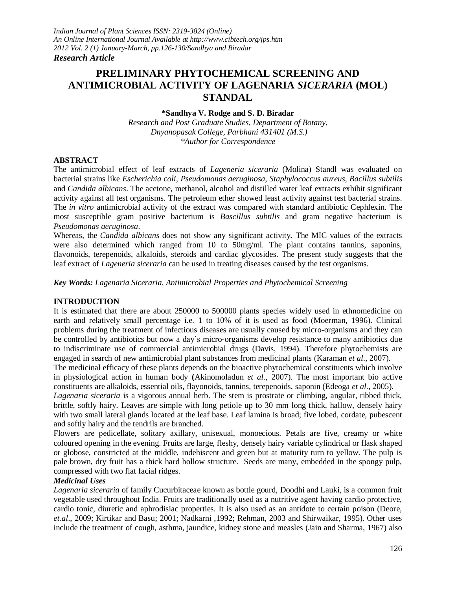# **PRELIMINARY PHYTOCHEMICAL SCREENING AND ANTIMICROBIAL ACTIVITY OF LAGENARIA** *SICERARIA* **(MOL) STANDAL**

#### **\*Sandhya V. Rodge and S. D. Biradar**

*Research and Post Graduate Studies, Department of Botany, Dnyanopasak College, Parbhani 431401 (M.S.) \*Author for Correspondence*

#### **ABSTRACT**

The antimicrobial effect of leaf extracts of *Lageneria siceraria* (Molina) Standl was evaluated on bacterial strains like *Escherichia coli*, *Pseudomonas aeruginosa*, *Staphylococcus aureus*, *Bacillus subtilis* and *Candida albicans*. The acetone, methanol, alcohol and distilled water leaf extracts exhibit significant activity against all test organisms. The petroleum ether showed least activity against test bacterial strains. The *in vitro* antimicrobial activity of the extract was compared with standard antibiotic Cephlexin. The most susceptible gram positive bacterium is *Bascillus subtilis* and gram negative bacterium is *Pseudomonas aeruginosa*.

Whereas, the *Candida albicans* does not show any significant activity*.* The MIC values of the extracts were also determined which ranged from 10 to 50mg/ml. The plant contains tannins, saponins, flavonoids, terepenoids, alkaloids, steroids and cardiac glycosides. The present study suggests that the leaf extract of *Lageneria siceraria* can be used in treating diseases caused by the test organisms.

*Key Words: Lagenaria Siceraria, Antimicrobial Properties and Phytochemical Screening*

#### **INTRODUCTION**

It is estimated that there are about 250000 to 500000 plants species widely used in ethnomedicine on earth and relatively small percentage i.e. 1 to 10% of it is used as food (Moerman, 1996). Clinical problems during the treatment of infectious diseases are usually caused by micro-organisms and they can be controlled by antibiotics but now a day's micro-organisms develop resistance to many antibiotics due to indiscriminate use of commercial antimicrobial drugs (Davis, 1994). Therefore phytochemists are engaged in search of new antimicrobial plant substances from medicinal plants (Karaman *et al*., 2007).

The medicinal efficacy of these plants depends on the bioactive phytochemical constituents which involve in physiological action in human body **(**Akinomoladun *et al.,* 2007). The most important bio active constituents are alkaloids, essential oils, flayonoids, tannins, terepenoids, saponin (Edeoga *et al*., 2005).

*Lagenaria siceraria* is a vigorous annual herb. The stem is prostrate or climbing, angular, ribbed thick, brittle, softly hairy. Leaves are simple with long petiole up to 30 mm long thick, hallow, densely hairy with two small lateral glands located at the leaf base. Leaf lamina is broad; five lobed, cordate, pubescent and softly hairy and the tendrils are branched.

Flowers are pedicellate, solitary axillary, unisexual, monoecious. Petals are five, creamy or white coloured opening in the evening. Fruits are large, fleshy, densely hairy variable cylindrical or flask shaped or globose, constricted at the middle, indehiscent and green but at maturity turn to yellow. The pulp is pale brown, dry fruit has a thick hard hollow structure. Seeds are many, embedded in the spongy pulp, compressed with two flat facial ridges.

#### *Medicinal Uses*

*Lagenaria siceraria* of family Cucurbitaceae known as bottle gourd, Doodhi and Lauki, is a common fruit vegetable used throughout India. Fruits are traditionally used as a nutritive agent having cardio protective, cardio tonic, diuretic and aphrodisiac properties. It is also used as an antidote to certain poison (Deore, *et.al*., 2009; Kirtikar and Basu; 2001; Nadkarni ,1992; Rehman, 2003 and Shirwaikar, 1995). Other uses include the treatment of cough, asthma, jaundice, kidney stone and measles (Jain and Sharma, 1967) also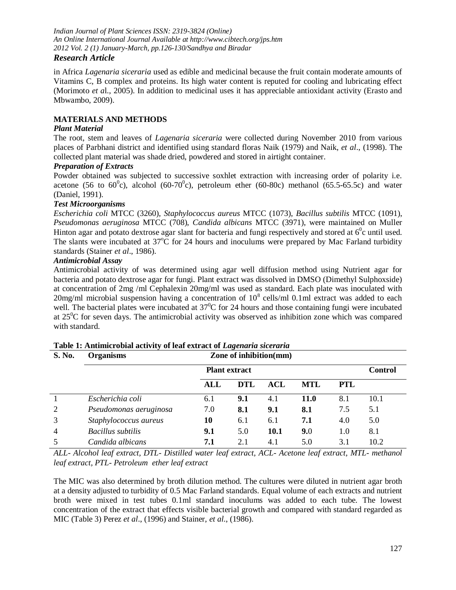*Indian Journal of Plant Sciences ISSN: 2319-3824 (Online) An Online International Journal Available at http://www.cibtech.org/jps.htm 2012 Vol. 2 (1) January-March, pp.126-130/Sandhya and Biradar*

# *Research Article*

in Africa *Lagenaria siceraria* used as edible and medicinal because the fruit contain moderate amounts of Vitamins C, B complex and proteins. Its high water content is reputed for cooling and lubricating effect (Morimoto *et a*l., 2005). In addition to medicinal uses it has appreciable antioxidant activity (Erasto and Mbwambo, 2009).

# **MATERIALS AND METHODS**

#### *Plant Material*

The root, stem and leaves of *Lagenaria siceraria* were collected during November 2010 from various places of Parbhani district and identified using standard floras Naik (1979) and Naik, *et al*., (1998). The collected plant material was shade dried, powdered and stored in airtight container.

#### *Preparation of Extracts*

Powder obtained was subjected to successive soxhlet extraction with increasing order of polarity i.e. acetone (56 to 60<sup>°</sup>c), alcohol (60-70<sup>°</sup>c), petroleum ether (60-80c) methanol (65.5-65.5c) and water (Daniel, 1991).

#### *Test Microorganisms*

*Escherichia coli* MTCC (3260), *Staphylococcus aureus* MTCC (1073), *Bacillus subtilis* MTCC (1091), *Pseudomonas aeruginosa* MTCC (708), *Candida albicans* MTCC (3971), were maintained on Muller Hinton agar and potato dextrose agar slant for bacteria and fungi respectively and stored at  $6^0c$  until used. The slants were incubated at  $37^{\circ}$ C for 24 hours and inoculums were prepared by Mac Farland turbidity standards (Stainer *et al*., 1986).

#### *Antimicrobial Assay*

Antimicrobial activity of was determined using agar well diffusion method using Nutrient agar for bacteria and potato dextrose agar for fungi. Plant extract was dissolved in DMSO (Dimethyl Sulphoxside) at concentration of 2mg /ml Cephalexin 20mg/ml was used as standard. Each plate was inoculated with 20mg/ml microbial suspension having a concentration of  $10^8$  cells/ml 0.1ml extract was added to each well. The bacterial plates were incubated at  $37^{\circ}$ C for 24 hours and those containing fungi were incubated at  $25^{\circ}$ C for seven days. The antimicrobial activity was observed as inhibition zone which was compared with standard.

| S. No.         | <b>Organisms</b>       | Zone of inhibition(mm) |     |            |            |                |      |  |
|----------------|------------------------|------------------------|-----|------------|------------|----------------|------|--|
|                |                        | <b>Plant extract</b>   |     |            |            | <b>Control</b> |      |  |
|                |                        | ALL                    | DTL | <b>ACL</b> | <b>MTL</b> | PTL            |      |  |
|                | Escherichia coli       | 6.1                    | 9.1 | 4.1        | 11.0       | 8.1            | 10.1 |  |
| 2              | Pseudomonas aeruginosa | 7.0                    | 8.1 | 9.1        | 8.1        | 7.5            | 5.1  |  |
| 3              | Staphylococcus aureus  | 10                     | 6.1 | 6.1        | 7.1        | 4.0            | 5.0  |  |
| $\overline{4}$ | Bacillus subtilis      | 9.1                    | 5.0 | 10.1       | 9.0        | 1.0            | 8.1  |  |
| $\overline{5}$ | Candida albicans       | 7.1                    | 2.1 | 4.1        | 5.0        | 3.1            | 10.2 |  |

| Table 1: Antimicrobial activity of leaf extract of Lagenaria siceraria |  |
|------------------------------------------------------------------------|--|
|------------------------------------------------------------------------|--|

*ALL- Alcohol leaf extract, DTL- Distilled water leaf extract, ACL- Acetone leaf extract, MTL- methanol leaf extract, PTL- Petroleum ether leaf extract*

The MIC was also determined by broth dilution method. The cultures were diluted in nutrient agar broth at a density adjusted to turbidity of 0.5 Mac Farland standards. Equal volume of each extracts and nutrient broth were mixed in test tubes 0.1ml standard inoculums was added to each tube. The lowest concentration of the extract that effects visible bacterial growth and compared with standard regarded as MIC (Table 3) Perez *et al*., (1996) and Stainer, *et al*., (1986).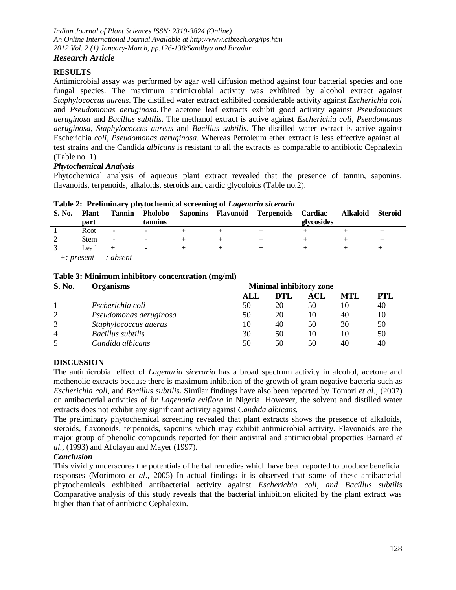*Indian Journal of Plant Sciences ISSN: 2319-3824 (Online) An Online International Journal Available at http://www.cibtech.org/jps.htm 2012 Vol. 2 (1) January-March, pp.126-130/Sandhya and Biradar*

# *Research Article*

# **RESULTS**

Antimicrobial assay was performed by agar well diffusion method against four bacterial species and one fungal species. The maximum antimicrobial activity was exhibited by alcohol extract against *Staphylococcus aureus*. The distilled water extract exhibited considerable activity against *Escherichia coli* and *Pseudomonas aeruginosa.*The acetone leaf extracts exhibit good activity against *Pseudomonas aeruginosa* and *Bacillus subtilis.* The methanol extract is active against *Escherichia coli, Pseudomonas aeruginosa, Staphylococcus aureus* and *Bacillus subtilis.* The distilled water extract is active against Escherichia *coli*, *Pseudomonas aeruginosa*. Whereas Petroleum ether extract is less effective against all test strains and the Candida *albicans* is resistant to all the extracts as comparable to antibiotic Cephalexin (Table no. 1).

## *Phytochemical Analysis*

Phytochemical analysis of aqueous plant extract revealed that the presence of tannin, saponins, flavanoids, terpenoids, alkaloids, steroids and cardic glycoloids (Table no.2).

| Table 2. Tremmial y phytochemical screening of <i>Lagenaria sicerum</i> |              |                          |                          |  |  |                                       |            |                 |                |
|-------------------------------------------------------------------------|--------------|--------------------------|--------------------------|--|--|---------------------------------------|------------|-----------------|----------------|
| S. No.                                                                  | <b>Plant</b> | <b>Tannin</b>            | <b>Pholobo</b>           |  |  | Saponins Flavonoid Terpenoids Cardiac |            | <b>Alkaloid</b> | <b>Steroid</b> |
|                                                                         | part         |                          | tannins                  |  |  |                                       | glycosides |                 |                |
|                                                                         | Root         | $\overline{\phantom{a}}$ | $\overline{\phantom{0}}$ |  |  |                                       |            |                 |                |
|                                                                         | <b>Stem</b>  | $\overline{\phantom{a}}$ | $\overline{\phantom{0}}$ |  |  |                                       |            |                 |                |
|                                                                         | Leaf         |                          | $\overline{\phantom{0}}$ |  |  |                                       |            |                 |                |
|                                                                         |              |                          |                          |  |  |                                       |            |                 |                |

**Table 2: Preliminary phytochemical screening of** *Lagenaria siceraria*

 *+: present --: absent*

#### **Table 3: Minimum inhibitory concentration (mg/ml)**

| <b>S. No.</b> | <b>Organisms</b>         | <b>Minimal inhibitory zone</b> |     |     |            |            |  |
|---------------|--------------------------|--------------------------------|-----|-----|------------|------------|--|
|               |                          | ALL                            | DTL | ACL | <b>MTL</b> | <b>PTL</b> |  |
|               | Escherichia coli         | 50                             | 20  | 50  | 10         | 40         |  |
|               | Pseudomonas aeruginosa   | 50                             | 20  | 10  | 40         | 10         |  |
|               | Staphylococcus auerus    | 10                             | 40  | 50  | 30         | 50         |  |
|               | <b>Bacillus</b> subtilis | 30                             | 50  | 10  | 10         | 50         |  |
|               | Candida albicans         | 50                             | 50  | 50  | 40         | 40         |  |

# **DISCUSSION**

The antimicrobial effect of *Lagenaria siceraria* has a broad spectrum activity in alcohol, acetone and methenolic extracts because there is maximum inhibition of the growth of gram negative bacteria such as *Escherichia coli,* and *Bacillus subtilis.* Similar findings have also been reported by Tomori *et al*., (2007) on antibacterial activities of *br Lagenaria eviflora* in Nigeria. However, the solvent and distilled water extracts does not exhibit any significant activity against *Candida albicans.*

The preliminary phytochemical screening revealed that plant extracts shows the presence of alkaloids, steroids, flavonoids, terpenoids, saponins which may exhibit antimicrobial activity. Flavonoids are the major group of phenolic compounds reported for their antiviral and antimicrobial properties Barnard *et al.,* (1993) and Afolayan and Mayer (1997).

#### *Conclusion*

This vividly underscores the potentials of herbal remedies which have been reported to produce beneficial responses (Morimoto *et al*., 2005) In actual findings it is observed that some of these antibacterial phytochemicals exhibited antibacterial activity against *Escherichia coli, and Bacillus subtilis* Comparative analysis of this study reveals that the bacterial inhibition elicited by the plant extract was higher than that of antibiotic Cephalexin.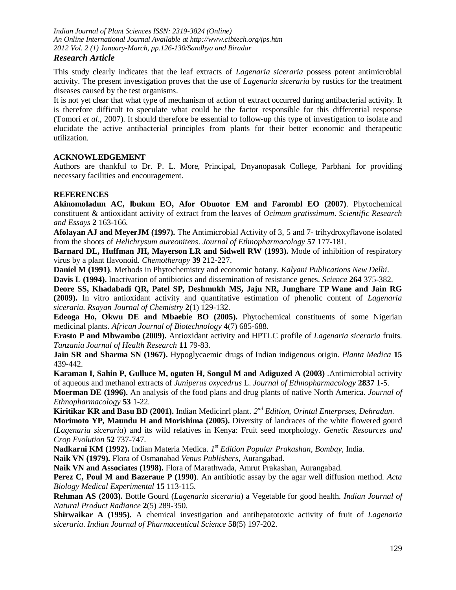*Indian Journal of Plant Sciences ISSN: 2319-3824 (Online) An Online International Journal Available at http://www.cibtech.org/jps.htm 2012 Vol. 2 (1) January-March, pp.126-130/Sandhya and Biradar*

## *Research Article*

This study clearly indicates that the leaf extracts of *Lagenaria siceraria* possess potent antimicrobial activity. The present investigation proves that the use of *Lagenaria siceraria* by rustics for the treatment diseases caused by the test organisms.

It is not yet clear that what type of mechanism of action of extract occurred during antibacterial activity. It is therefore difficult to speculate what could be the factor responsible for this differential response (Tomori *et al*., 2007). It should therefore be essential to follow-up this type of investigation to isolate and elucidate the active antibacterial principles from plants for their better economic and therapeutic utilization.

## **ACKNOWLEDGEMENT**

Authors are thankful to Dr. P. L. More, Principal, Dnyanopasak College, Parbhani for providing necessary facilities and encouragement.

#### **REFERENCES**

**Akinomoladun AC, lbukun EO, Afor Obuotor EM and Farombl EO (2007)**. Phytochemical constituent & antioxidant activity of extract from the leaves of *Ocimum gratissimum*. *Scientific Research and Essays* **2** 163-166.

**Afolayan AJ and MeyerJM (1997).** The Antimicrobial Activity of 3, 5 and 7- trihydroxyflavone isolated from the shoots of *Helichrysum aureonitens*. *Journal of Ethnopharmacology* **57** 177-181.

**Barnard DL, Huffman JH, Mayerson LR and Sidwell RW (1993).** Mode of inhibition of respiratory virus by a plant flavonoid. *Chemotherapy* **39** 212-227.

**Daniel M (1991)**. Methods in Phytochemistry and economic botany. *Kalyani Publications New Delhi*.

**Davis L (1994).** Inactivation of antibiotics and dissemination of resistance genes. *Science* **264** 375-382.

**Deore SS, Khadabadi QR, Patel SP, Deshmukh MS, Jaju NR, Junghare TP Wane and Jain RG (2009).** In vitro antioxidant activity and quantitative estimation of phenolic content of *Lagenaria siceraria. Rsayan Journal of Chemistry* **2**(1) 129-132.

**Edeoga Ho, Okwu DE and Mbaebie BO (2005).** Phytochemical constituents of some Nigerian medicinal plants. *African Journal of Biotechnology* **4**(7) 685-688.

**Erasto P and Mbwambo (2009).** Antioxidant activity and HPTLC profile of *Lagenaria siceraria* fruits. *Tanzania Journal of Health Research* **11** 79-83.

**Jain SR and Sharma SN (1967).** Hypoglycaemic drugs of Indian indigenous origin. *Planta Medica* **15** 439-442.

**Karaman I, Sahin P, Gulluce M, oguten H, Songul M and Adiguzed A (2003)** .Antimicrobial activity of aqueous and methanol extracts of *Juniperus oxycedrus* L. *Journal of Ethnopharmacology* **2837** 1-5.

**Moerman DE (1996).** An analysis of the food plans and drug plants of native North America. *Journal of Ethnopharmacology* **53** 1-22.

**Kiritikar KR and Basu BD (2001).** Indian Medicinrl plant. *2 nd Edition, Orintal Enterprses, Dehradun*.

**Morimoto YP, Maundu H and Morishima (2005).** Diversity of landraces of the white flowered gourd (*Lagenaria siceraria*) and its wild relatives in Kenya: Fruit seed morphology. *Genetic Resources and Crop Evolution* **52** 737-747.

**Nadkarni KM (1992).** Indian Materia Medica. *1 st Edition Popular Prakashan, Bombay,* India.

**Naik VN (1979).** Flora of Osmanabad *Venus Publishers*, Aurangabad.

**Naik VN and Associates (1998).** Flora of Marathwada, Amrut Prakashan, Aurangabad.

**Perez C, Poul M and Bazeraue P (1990)**. An antibiotic assay by the agar well diffusion method. *Acta Biology Medical Experimental* **15** 113-115.

**Rehman AS (2003).** Bottle Gourd (*Lagenaria siceraria*) a Vegetable for good health. *Indian Journal of Natural Product Radiance* **2**(5) 289-350.

**Shirwaikar A (1995).** A chemical investigation and antihepatotoxic activity of fruit of *Lagenaria siceraria*. *Indian Journal of Pharmaceutical Science* **58**(5) 197-202.